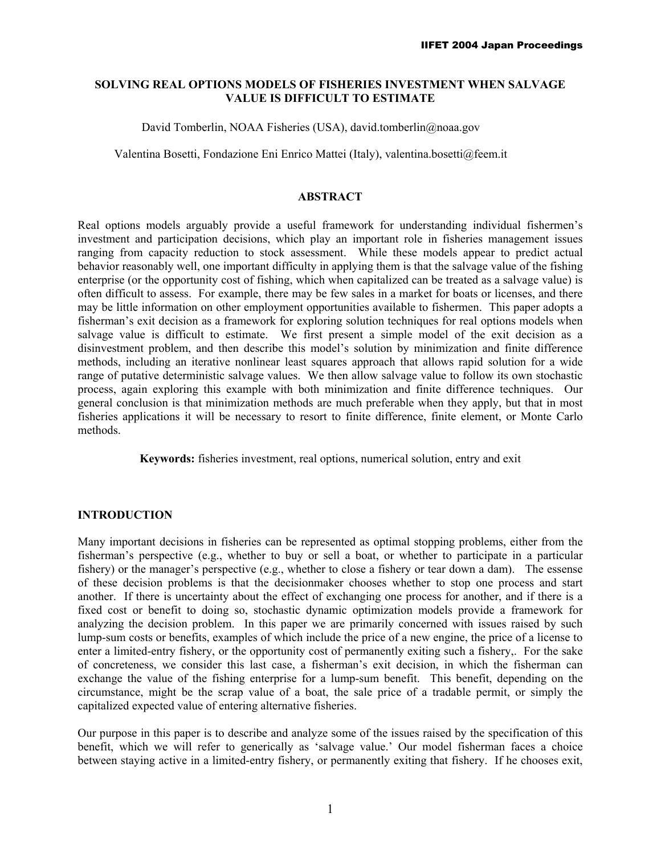# **SOLVING REAL OPTIONS MODELS OF FISHERIES INVESTMENT WHEN SALVAGE VALUE IS DIFFICULT TO ESTIMATE**

### David Tomberlin, NOAA Fisheries (USA), david.tomberlin@noaa.gov

Valentina Bosetti, Fondazione Eni Enrico Mattei (Italy), valentina.bosetti@feem.it

## **ABSTRACT**

Real options models arguably provide a useful framework for understanding individual fishermen's investment and participation decisions, which play an important role in fisheries management issues ranging from capacity reduction to stock assessment. While these models appear to predict actual behavior reasonably well, one important difficulty in applying them is that the salvage value of the fishing enterprise (or the opportunity cost of fishing, which when capitalized can be treated as a salvage value) is often difficult to assess. For example, there may be few sales in a market for boats or licenses, and there may be little information on other employment opportunities available to fishermen. This paper adopts a fisherman's exit decision as a framework for exploring solution techniques for real options models when salvage value is difficult to estimate. We first present a simple model of the exit decision as a disinvestment problem, and then describe this model's solution by minimization and finite difference methods, including an iterative nonlinear least squares approach that allows rapid solution for a wide range of putative deterministic salvage values. We then allow salvage value to follow its own stochastic process, again exploring this example with both minimization and finite difference techniques. Our general conclusion is that minimization methods are much preferable when they apply, but that in most fisheries applications it will be necessary to resort to finite difference, finite element, or Monte Carlo methods.

**Keywords:** fisheries investment, real options, numerical solution, entry and exit

# **INTRODUCTION**

Many important decisions in fisheries can be represented as optimal stopping problems, either from the fisherman's perspective (e.g., whether to buy or sell a boat, or whether to participate in a particular fishery) or the manager's perspective (e.g., whether to close a fishery or tear down a dam). The essense of these decision problems is that the decisionmaker chooses whether to stop one process and start another. If there is uncertainty about the effect of exchanging one process for another, and if there is a fixed cost or benefit to doing so, stochastic dynamic optimization models provide a framework for analyzing the decision problem. In this paper we are primarily concerned with issues raised by such lump-sum costs or benefits, examples of which include the price of a new engine, the price of a license to enter a limited-entry fishery, or the opportunity cost of permanently exiting such a fishery,. For the sake of concreteness, we consider this last case, a fisherman's exit decision, in which the fisherman can exchange the value of the fishing enterprise for a lump-sum benefit. This benefit, depending on the circumstance, might be the scrap value of a boat, the sale price of a tradable permit, or simply the capitalized expected value of entering alternative fisheries.

Our purpose in this paper is to describe and analyze some of the issues raised by the specification of this benefit, which we will refer to generically as 'salvage value.' Our model fisherman faces a choice between staying active in a limited-entry fishery, or permanently exiting that fishery. If he chooses exit,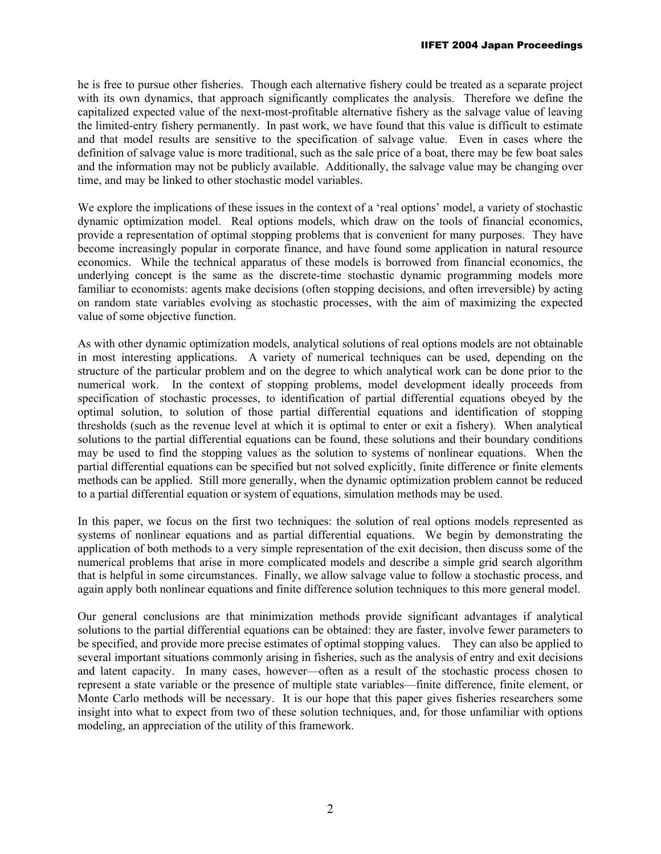he is free to pursue other fisheries. Though each alternative fishery could be treated as a separate project with its own dynamics, that approach significantly complicates the analysis. Therefore we define the capitalized expected value of the next-most-profitable alternative fishery as the salvage value of leaving the limited-entry fishery permanently. In past work, we have found that this value is difficult to estimate and that model results are sensitive to the specification of salvage value. Even in cases where the definition of salvage value is more traditional, such as the sale price of a boat, there may be few boat sales and the information may not be publicly available. Additionally, the salvage value may be changing over time, and may be linked to other stochastic model variables.

We explore the implications of these issues in the context of a 'real options' model, a variety of stochastic dynamic optimization model. Real options models, which draw on the tools of financial economics, provide a representation of optimal stopping problems that is convenient for many purposes. They have become increasingly popular in corporate finance, and have found some application in natural resource economics. While the technical apparatus of these models is borrowed from financial economics, the underlying concept is the same as the discrete-time stochastic dynamic programming models more familiar to economists: agents make decisions (often stopping decisions, and often irreversible) by acting on random state variables evolving as stochastic processes, with the aim of maximizing the expected value of some objective function.

As with other dynamic optimization models, analytical solutions of real options models are not obtainable in most interesting applications. A variety of numerical techniques can be used, depending on the structure of the particular problem and on the degree to which analytical work can be done prior to the numerical work. In the context of stopping problems, model development ideally proceeds from specification of stochastic processes, to identification of partial differential equations obeyed by the optimal solution, to solution of those partial differential equations and identification of stopping thresholds (such as the revenue level at which it is optimal to enter or exit a fishery). When analytical solutions to the partial differential equations can be found, these solutions and their boundary conditions may be used to find the stopping values as the solution to systems of nonlinear equations. When the partial differential equations can be specified but not solved explicitly, finite difference or finite elements methods can be applied. Still more generally, when the dynamic optimization problem cannot be reduced to a partial differential equation or system of equations, simulation methods may be used.

In this paper, we focus on the first two techniques: the solution of real options models represented as systems of nonlinear equations and as partial differential equations. We begin by demonstrating the application of both methods to a very simple representation of the exit decision, then discuss some of the numerical problems that arise in more complicated models and describe a simple grid search algorithm that is helpful in some circumstances. Finally, we allow salvage value to follow a stochastic process, and again apply both nonlinear equations and finite difference solution techniques to this more general model.

Our general conclusions are that minimization methods provide significant advantages if analytical solutions to the partial differential equations can be obtained: they are faster, involve fewer parameters to be specified, and provide more precise estimates of optimal stopping values. They can also be applied to several important situations commonly arising in fisheries, such as the analysis of entry and exit decisions and latent capacity. In many cases, however—often as a result of the stochastic process chosen to represent a state variable or the presence of multiple state variables—finite difference, finite element, or Monte Carlo methods will be necessary. It is our hope that this paper gives fisheries researchers some insight into what to expect from two of these solution techniques, and, for those unfamiliar with options modeling, an appreciation of the utility of this framework.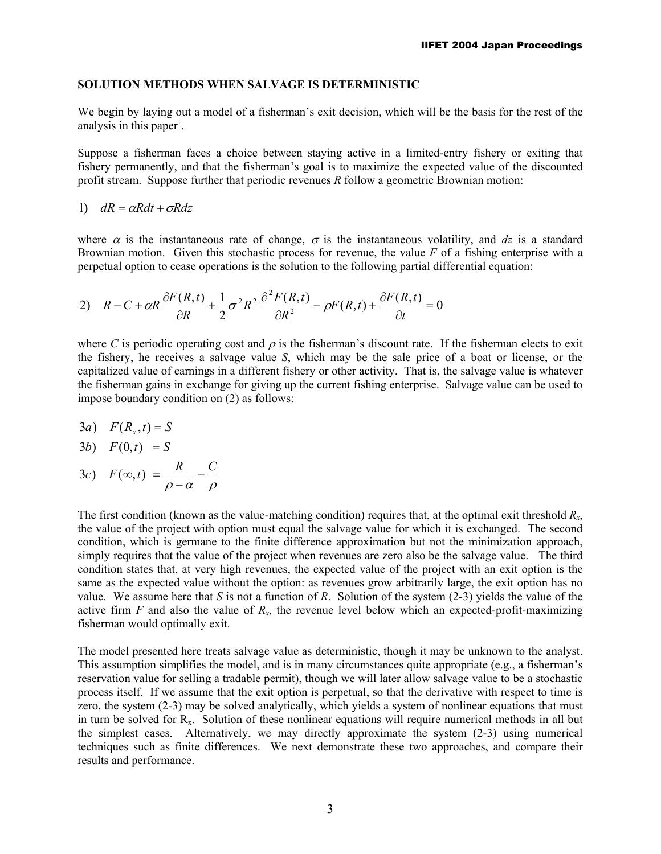## **SOLUTION METHODS WHEN SALVAGE IS DETERMINISTIC**

We begin by laying out a model of a fisherman's exit decision, which will be the basis for the rest of the analysis in this paper<sup>1</sup>.

Suppose a fisherman faces a choice between staying active in a limited-entry fishery or exiting that fishery permanently, and that the fisherman's goal is to maximize the expected value of the discounted profit stream. Suppose further that periodic revenues *R* follow a geometric Brownian motion:

1)  $dR = \alpha R dt + \sigma R dz$ 

where  $\alpha$  is the instantaneous rate of change,  $\sigma$  is the instantaneous volatility, and dz is a standard Brownian motion. Given this stochastic process for revenue, the value *F* of a fishing enterprise with a perpetual option to cease operations is the solution to the following partial differential equation:

2) 
$$
R - C + \alpha R \frac{\partial F(R,t)}{\partial R} + \frac{1}{2} \sigma^2 R^2 \frac{\partial^2 F(R,t)}{\partial R^2} - \rho F(R,t) + \frac{\partial F(R,t)}{\partial t} = 0
$$

where *C* is periodic operating cost and  $\rho$  is the fisherman's discount rate. If the fisherman elects to exit the fishery, he receives a salvage value *S*, which may be the sale price of a boat or license, or the capitalized value of earnings in a different fishery or other activity. That is, the salvage value is whatever the fisherman gains in exchange for giving up the current fishing enterprise. Salvage value can be used to impose boundary condition on (2) as follows:

$$
3a) \quad F(R_x,t) = S
$$

$$
3b) \quad F(0,t) = S
$$

 $ρ - α$  ρ 3c)  $F(\infty,t) = \frac{R}{\rho - \alpha} - \frac{C}{\rho}$ 

The first condition (known as the value-matching condition) requires that, at the optimal exit threshold *Rx*, the value of the project with option must equal the salvage value for which it is exchanged. The second condition, which is germane to the finite difference approximation but not the minimization approach, simply requires that the value of the project when revenues are zero also be the salvage value. The third condition states that, at very high revenues, the expected value of the project with an exit option is the same as the expected value without the option: as revenues grow arbitrarily large, the exit option has no value. We assume here that *S* is not a function of *R*. Solution of the system (2-3) yields the value of the active firm  $F$  and also the value of  $R_x$ , the revenue level below which an expected-profit-maximizing fisherman would optimally exit.

The model presented here treats salvage value as deterministic, though it may be unknown to the analyst. This assumption simplifies the model, and is in many circumstances quite appropriate (e.g., a fisherman's reservation value for selling a tradable permit), though we will later allow salvage value to be a stochastic process itself. If we assume that the exit option is perpetual, so that the derivative with respect to time is zero, the system (2-3) may be solved analytically, which yields a system of nonlinear equations that must in turn be solved for Rx. Solution of these nonlinear equations will require numerical methods in all but the simplest cases. Alternatively, we may directly approximate the system (2-3) using numerical techniques such as finite differences. We next demonstrate these two approaches, and compare their results and performance.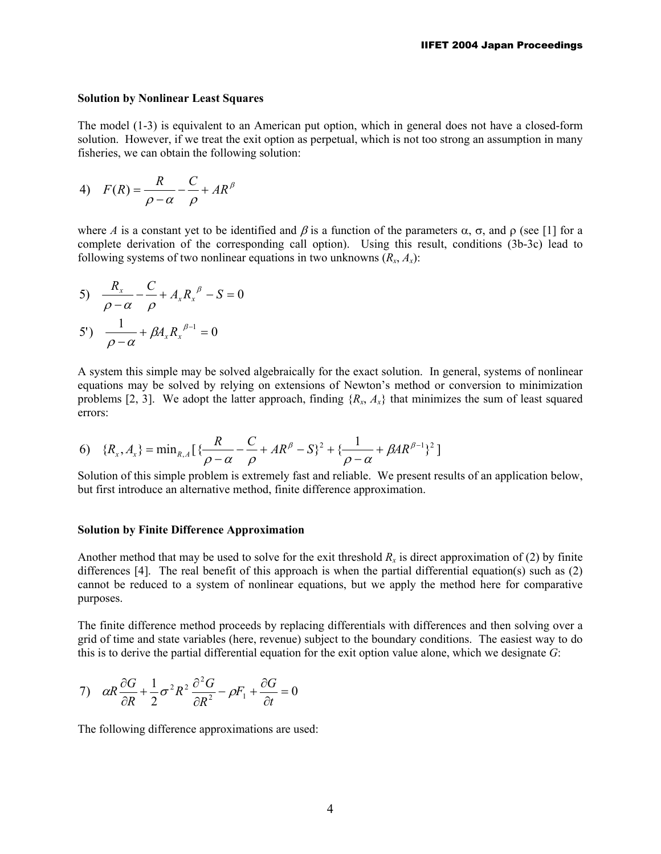### **Solution by Nonlinear Least Squares**

The model (1-3) is equivalent to an American put option, which in general does not have a closed-form solution. However, if we treat the exit option as perpetual, which is not too strong an assumption in many fisheries, we can obtain the following solution:

4) 
$$
F(R) = \frac{R}{\rho - \alpha} - \frac{C}{\rho} + AR^{\beta}
$$

where *A* is a constant yet to be identified and  $\beta$  is a function of the parameters  $\alpha$ ,  $\sigma$ , and  $\rho$  (see [1] for a complete derivation of the corresponding call option). Using this result, conditions (3b-3c) lead to following systems of two nonlinear equations in two unknowns  $(R_x, A_y)$ :

5) 
$$
\frac{R_{x}}{\rho - \alpha} - \frac{C}{\rho} + A_{x} R_{x}^{\ \beta} - S = 0
$$
  
5') 
$$
\frac{1}{\rho - \alpha} + \beta A_{x} R_{x}^{\ \beta - 1} = 0
$$

A system this simple may be solved algebraically for the exact solution. In general, systems of nonlinear equations may be solved by relying on extensions of Newton's method or conversion to minimization problems [2, 3]. We adopt the latter approach, finding  ${R_x, A_x}$  that minimizes the sum of least squared errors:

6) 
$$
\{R_x, A_x\} = \min_{R, A} \left[ \frac{R}{\rho - \alpha} - \frac{C}{\rho} + AR^{\beta} - S \right]^2 + \left\{ \frac{1}{\rho - \alpha} + \beta AR^{\beta - 1} \right\}^2
$$

Solution of this simple problem is extremely fast and reliable. We present results of an application below, but first introduce an alternative method, finite difference approximation.

#### **Solution by Finite Difference Approximation**

Another method that may be used to solve for the exit threshold  $R<sub>x</sub>$  is direct approximation of (2) by finite differences [4]. The real benefit of this approach is when the partial differential equation(s) such as (2) cannot be reduced to a system of nonlinear equations, but we apply the method here for comparative purposes.

The finite difference method proceeds by replacing differentials with differences and then solving over a grid of time and state variables (here, revenue) subject to the boundary conditions. The easiest way to do this is to derive the partial differential equation for the exit option value alone, which we designate *G*:

7) 
$$
\alpha R \frac{\partial G}{\partial R} + \frac{1}{2} \sigma^2 R^2 \frac{\partial^2 G}{\partial R^2} - \rho F_1 + \frac{\partial G}{\partial t} = 0
$$

The following difference approximations are used: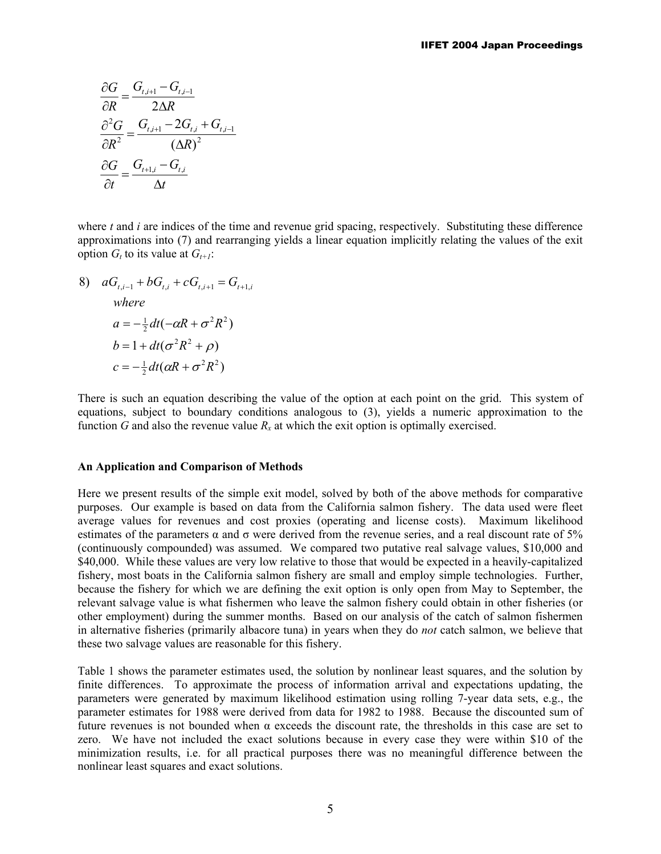$$
\frac{\partial G}{\partial R} = \frac{G_{t,i+1} - G_{t,i-1}}{2\Delta R}
$$

$$
\frac{\partial^2 G}{\partial R^2} = \frac{G_{t,i+1} - 2G_{t,i} + G_{t,i-1}}{(\Delta R)^2}
$$

$$
\frac{\partial G}{\partial t} = \frac{G_{t+1,i} - G_{t,i}}{\Delta t}
$$

where *t* and *i* are indices of the time and revenue grid spacing, respectively. Substituting these difference approximations into (7) and rearranging yields a linear equation implicitly relating the values of the exit option  $G_t$  to its value at  $G_{t+1}$ :

8) 
$$
aG_{t,i-1} + bG_{t,i} + cG_{t,i+1} = G_{t+1,i}
$$
  
\nwhere  
\n
$$
a = -\frac{1}{2}dt(-\alpha R + \sigma^2 R^2)
$$
  
\n
$$
b = 1 + dt(\sigma^2 R^2 + \rho)
$$
  
\n
$$
c = -\frac{1}{2}dt(\alpha R + \sigma^2 R^2)
$$

There is such an equation describing the value of the option at each point on the grid. This system of equations, subject to boundary conditions analogous to (3), yields a numeric approximation to the function *G* and also the revenue value  $R_x$  at which the exit option is optimally exercised.

#### **An Application and Comparison of Methods**

Here we present results of the simple exit model, solved by both of the above methods for comparative purposes. Our example is based on data from the California salmon fishery. The data used were fleet average values for revenues and cost proxies (operating and license costs). Maximum likelihood estimates of the parameters  $\alpha$  and  $\sigma$  were derived from the revenue series, and a real discount rate of 5% (continuously compounded) was assumed. We compared two putative real salvage values, \$10,000 and \$40,000. While these values are very low relative to those that would be expected in a heavily-capitalized fishery, most boats in the California salmon fishery are small and employ simple technologies. Further, because the fishery for which we are defining the exit option is only open from May to September, the relevant salvage value is what fishermen who leave the salmon fishery could obtain in other fisheries (or other employment) during the summer months. Based on our analysis of the catch of salmon fishermen in alternative fisheries (primarily albacore tuna) in years when they do *not* catch salmon, we believe that these two salvage values are reasonable for this fishery.

Table 1 shows the parameter estimates used, the solution by nonlinear least squares, and the solution by finite differences. To approximate the process of information arrival and expectations updating, the parameters were generated by maximum likelihood estimation using rolling 7-year data sets, e.g., the parameter estimates for 1988 were derived from data for 1982 to 1988. Because the discounted sum of future revenues is not bounded when  $\alpha$  exceeds the discount rate, the thresholds in this case are set to zero. We have not included the exact solutions because in every case they were within \$10 of the minimization results, i.e. for all practical purposes there was no meaningful difference between the nonlinear least squares and exact solutions.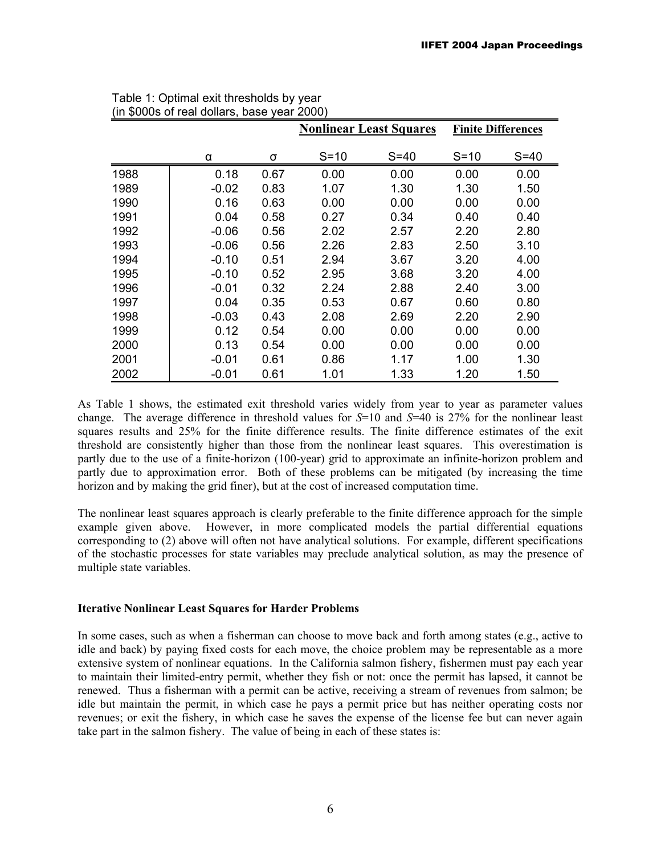|      |         |      | <b>Nonlinear Least Squares</b> |        | <b>Finite Differences</b> |        |
|------|---------|------|--------------------------------|--------|---------------------------|--------|
|      | α       | σ    | $S=10$                         | $S=40$ | $S=10$                    | $S=40$ |
| 1988 | 0.18    | 0.67 | 0.00                           | 0.00   | 0.00                      | 0.00   |
| 1989 | $-0.02$ | 0.83 | 1.07                           | 1.30   | 1.30                      | 1.50   |
| 1990 | 0.16    | 0.63 | 0.00                           | 0.00   | 0.00                      | 0.00   |
| 1991 | 0.04    | 0.58 | 0.27                           | 0.34   | 0.40                      | 0.40   |
| 1992 | $-0.06$ | 0.56 | 2.02                           | 2.57   | 2.20                      | 2.80   |
| 1993 | $-0.06$ | 0.56 | 2.26                           | 2.83   | 2.50                      | 3.10   |
| 1994 | $-0.10$ | 0.51 | 2.94                           | 3.67   | 3.20                      | 4.00   |
| 1995 | $-0.10$ | 0.52 | 2.95                           | 3.68   | 3.20                      | 4.00   |
| 1996 | $-0.01$ | 0.32 | 2.24                           | 2.88   | 2.40                      | 3.00   |
| 1997 | 0.04    | 0.35 | 0.53                           | 0.67   | 0.60                      | 0.80   |
| 1998 | $-0.03$ | 0.43 | 2.08                           | 2.69   | 2.20                      | 2.90   |
| 1999 | 0.12    | 0.54 | 0.00                           | 0.00   | 0.00                      | 0.00   |
| 2000 | 0.13    | 0.54 | 0.00                           | 0.00   | 0.00                      | 0.00   |
| 2001 | $-0.01$ | 0.61 | 0.86                           | 1.17   | 1.00                      | 1.30   |
| 2002 | $-0.01$ | 0.61 | 1.01                           | 1.33   | 1.20                      | 1.50   |

| Table 1: Optimal exit thresholds by year    |  |
|---------------------------------------------|--|
| (in \$000s of real dollars, base year 2000) |  |

As Table 1 shows, the estimated exit threshold varies widely from year to year as parameter values change. The average difference in threshold values for *S*=10 and *S*=40 is 27% for the nonlinear least squares results and 25% for the finite difference results. The finite difference estimates of the exit threshold are consistently higher than those from the nonlinear least squares. This overestimation is partly due to the use of a finite-horizon (100-year) grid to approximate an infinite-horizon problem and partly due to approximation error. Both of these problems can be mitigated (by increasing the time horizon and by making the grid finer), but at the cost of increased computation time.

The nonlinear least squares approach is clearly preferable to the finite difference approach for the simple example given above. However, in more complicated models the partial differential equations corresponding to (2) above will often not have analytical solutions. For example, different specifications of the stochastic processes for state variables may preclude analytical solution, as may the presence of multiple state variables.

# **Iterative Nonlinear Least Squares for Harder Problems**

In some cases, such as when a fisherman can choose to move back and forth among states (e.g., active to idle and back) by paying fixed costs for each move, the choice problem may be representable as a more extensive system of nonlinear equations. In the California salmon fishery, fishermen must pay each year to maintain their limited-entry permit, whether they fish or not: once the permit has lapsed, it cannot be renewed. Thus a fisherman with a permit can be active, receiving a stream of revenues from salmon; be idle but maintain the permit, in which case he pays a permit price but has neither operating costs nor revenues; or exit the fishery, in which case he saves the expense of the license fee but can never again take part in the salmon fishery. The value of being in each of these states is: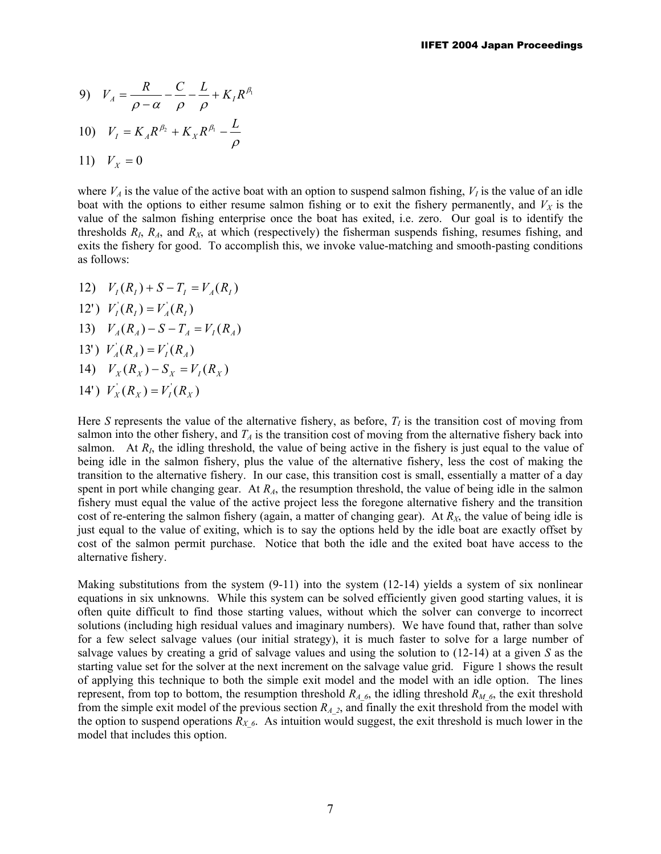9) 
$$
V_A = \frac{R}{\rho - \alpha} - \frac{C}{\rho} - \frac{L}{\rho} + K_I R^{\beta_1}
$$

10) 
$$
V_I = K_A R^{\beta_2} + K_X R^{\beta_1} - \frac{L}{\rho}
$$

$$
11) V_X = 0
$$

where  $V_A$  is the value of the active boat with an option to suspend salmon fishing,  $V_I$  is the value of an idle boat with the options to either resume salmon fishing or to exit the fishery permanently, and  $V_X$  is the value of the salmon fishing enterprise once the boat has exited, i.e. zero. Our goal is to identify the thresholds  $R_I$ ,  $R_A$ , and  $R_X$ , at which (respectively) the fisherman suspends fishing, resumes fishing, and exits the fishery for good. To accomplish this, we invoke value-matching and smooth-pasting conditions as follows:

- 12)  $V_I(R_I) + S T_I = V_A(R_I)$
- 14')  $V_X(R_X) = V_I(R_X)$ 14)  $V_X(R_X) - S_X = V_I(R_X)$ 13')  $V_A$ <sup>*(R<sub>A</sub>)* =  $V_I$ <sup>*(R<sub>A</sub>)*)</sup></sup> 13)  $V_A(R_A) - S - T_A = V_I(R_A)$ 12')  $V_I(R_I) = V_A(R_I)$

Here *S* represents the value of the alternative fishery, as before,  $T<sub>I</sub>$  is the transition cost of moving from salmon into the other fishery, and  $T_A$  is the transition cost of moving from the alternative fishery back into salmon. At  $R<sub>I</sub>$ , the idling threshold, the value of being active in the fishery is just equal to the value of being idle in the salmon fishery, plus the value of the alternative fishery, less the cost of making the transition to the alternative fishery. In our case, this transition cost is small, essentially a matter of a day spent in port while changing gear. At  $R_A$ , the resumption threshold, the value of being idle in the salmon fishery must equal the value of the active project less the foregone alternative fishery and the transition cost of re-entering the salmon fishery (again, a matter of changing gear). At *RX*, the value of being idle is just equal to the value of exiting, which is to say the options held by the idle boat are exactly offset by cost of the salmon permit purchase. Notice that both the idle and the exited boat have access to the alternative fishery.

Making substitutions from the system  $(9-11)$  into the system  $(12-14)$  yields a system of six nonlinear equations in six unknowns. While this system can be solved efficiently given good starting values, it is often quite difficult to find those starting values, without which the solver can converge to incorrect solutions (including high residual values and imaginary numbers). We have found that, rather than solve for a few select salvage values (our initial strategy), it is much faster to solve for a large number of salvage values by creating a grid of salvage values and using the solution to (12-14) at a given *S* as the starting value set for the solver at the next increment on the salvage value grid. Figure 1 shows the result of applying this technique to both the simple exit model and the model with an idle option. The lines represent, from top to bottom, the resumption threshold  $R_{A_6}$ , the idling threshold  $R_{M_6}$ , the exit threshold from the simple exit model of the previous section  $R_A_2$ , and finally the exit threshold from the model with the option to suspend operations  $R_{X_6}$ . As intuition would suggest, the exit threshold is much lower in the model that includes this option.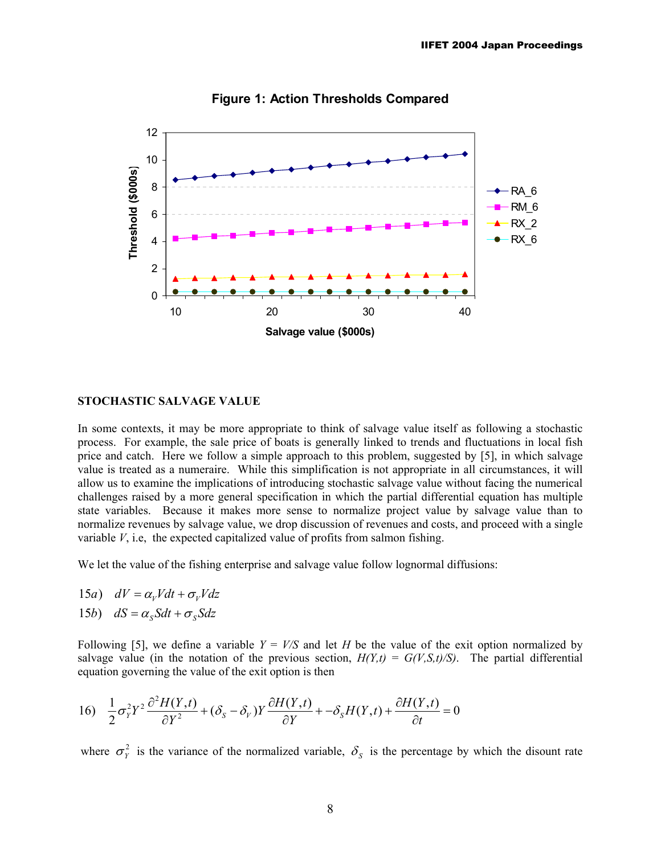

**Figure 1: Action Thresholds Compared** 

#### **STOCHASTIC SALVAGE VALUE**

In some contexts, it may be more appropriate to think of salvage value itself as following a stochastic process. For example, the sale price of boats is generally linked to trends and fluctuations in local fish price and catch. Here we follow a simple approach to this problem, suggested by [5], in which salvage value is treated as a numeraire. While this simplification is not appropriate in all circumstances, it will allow us to examine the implications of introducing stochastic salvage value without facing the numerical challenges raised by a more general specification in which the partial differential equation has multiple state variables. Because it makes more sense to normalize project value by salvage value than to normalize revenues by salvage value, we drop discussion of revenues and costs, and proceed with a single variable  $V$ , i.e., the expected capitalized value of profits from salmon fishing.

We let the value of the fishing enterprise and salvage value follow lognormal diffusions:

- 15*a*)  $dV = \alpha_V V dt + \sigma_V V dz$
- 15b)  $dS = \alpha_s Sdt + \sigma_s Sdz$

Following [5], we define a variable  $Y = V/S$  and let *H* be the value of the exit option normalized by salvage value (in the notation of the previous section,  $H(Y,t) = G(V,S,t)/S$ ). The partial differential equation governing the value of the exit option is then

16) 
$$
\frac{1}{2}\sigma_Y^2 Y^2 \frac{\partial^2 H(Y,t)}{\partial Y^2} + (\delta_S - \delta_V) Y \frac{\partial H(Y,t)}{\partial Y} + -\delta_S H(Y,t) + \frac{\partial H(Y,t)}{\partial t} = 0
$$

where  $\sigma_Y^2$  is the variance of the normalized variable,  $\delta_S$  is the percentage by which the disount rate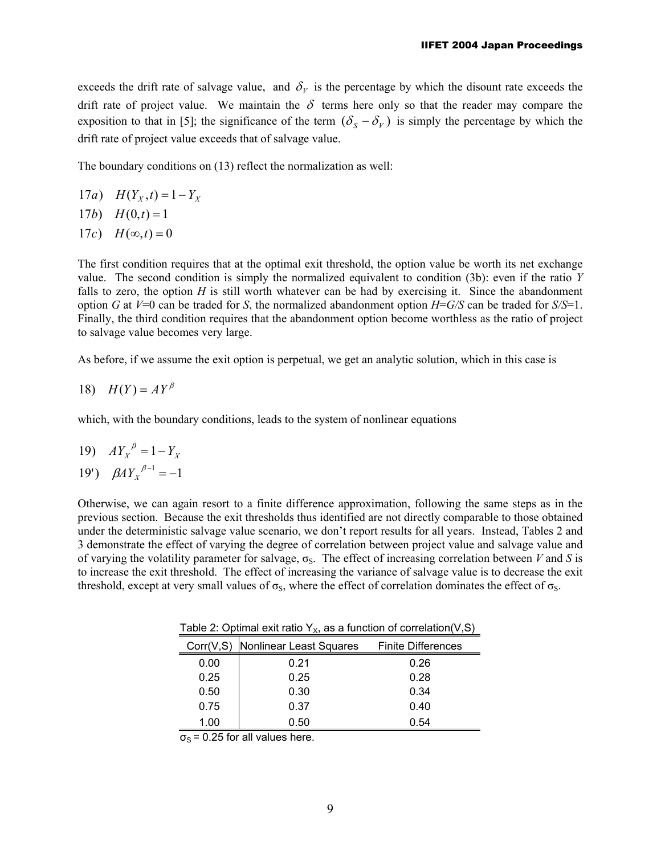exceeds the drift rate of salvage value, and  $\delta_V$  is the percentage by which the disount rate exceeds the drift rate of project value. We maintain the  $\delta$  terms here only so that the reader may compare the exposition to that in [5]; the significance of the term  $(\delta_s - \delta_v)$  is simply the percentage by which the drift rate of project value exceeds that of salvage value.

The boundary conditions on (13) reflect the normalization as well:

- 17*a*)  $H(Y_X, t) = 1 Y_X$
- 17*b*)  $H(0,t) = 1$
- 17c)  $H(\infty, t) = 0$

The first condition requires that at the optimal exit threshold, the option value be worth its net exchange value. The second condition is simply the normalized equivalent to condition (3b): even if the ratio *Y* falls to zero, the option *H* is still worth whatever can be had by exercising it. Since the abandonment option *G* at *V*=0 can be traded for *S*, the normalized abandonment option *H*=*G/S* can be traded for *S/S*=1. Finally, the third condition requires that the abandonment option become worthless as the ratio of project to salvage value becomes very large.

As before, if we assume the exit option is perpetual, we get an analytic solution, which in this case is

18) 
$$
H(Y) = AY^{\beta}
$$

which, with the boundary conditions, leads to the system of nonlinear equations

$$
19) \quad A Y_X^{\ \beta} = 1 - Y_X
$$

$$
19')\quad \beta A Y_{X}^{\ \beta -1} = -1
$$

Otherwise, we can again resort to a finite difference approximation, following the same steps as in the previous section. Because the exit thresholds thus identified are not directly comparable to those obtained under the deterministic salvage value scenario, we don't report results for all years. Instead, Tables 2 and 3 demonstrate the effect of varying the degree of correlation between project value and salvage value and of varying the volatility parameter for salvage, σS. The effect of increasing correlation between *V* and *S* is to increase the exit threshold. The effect of increasing the variance of salvage value is to decrease the exit threshold, except at very small values of  $\sigma_s$ , where the effect of correlation dominates the effect of  $\sigma_s$ .

Table 2: Optimal exit ratio  $Y_x$ , as a function of correlation(V,S)

|            | .                       |                           |  |
|------------|-------------------------|---------------------------|--|
| Corr(V, S) | Nonlinear Least Squares | <b>Finite Differences</b> |  |
| 0.00       | 0.21                    | 0.26                      |  |
| 0.25       | 0.25                    | 0.28                      |  |
| 0.50       | 0.30                    | 0.34                      |  |
| 0.75       | 0.37                    | 0.40                      |  |
| 1.00       | 0.50                    | 0.54                      |  |

 $\sigma_{\rm s}$  = 0.25 for all values here.